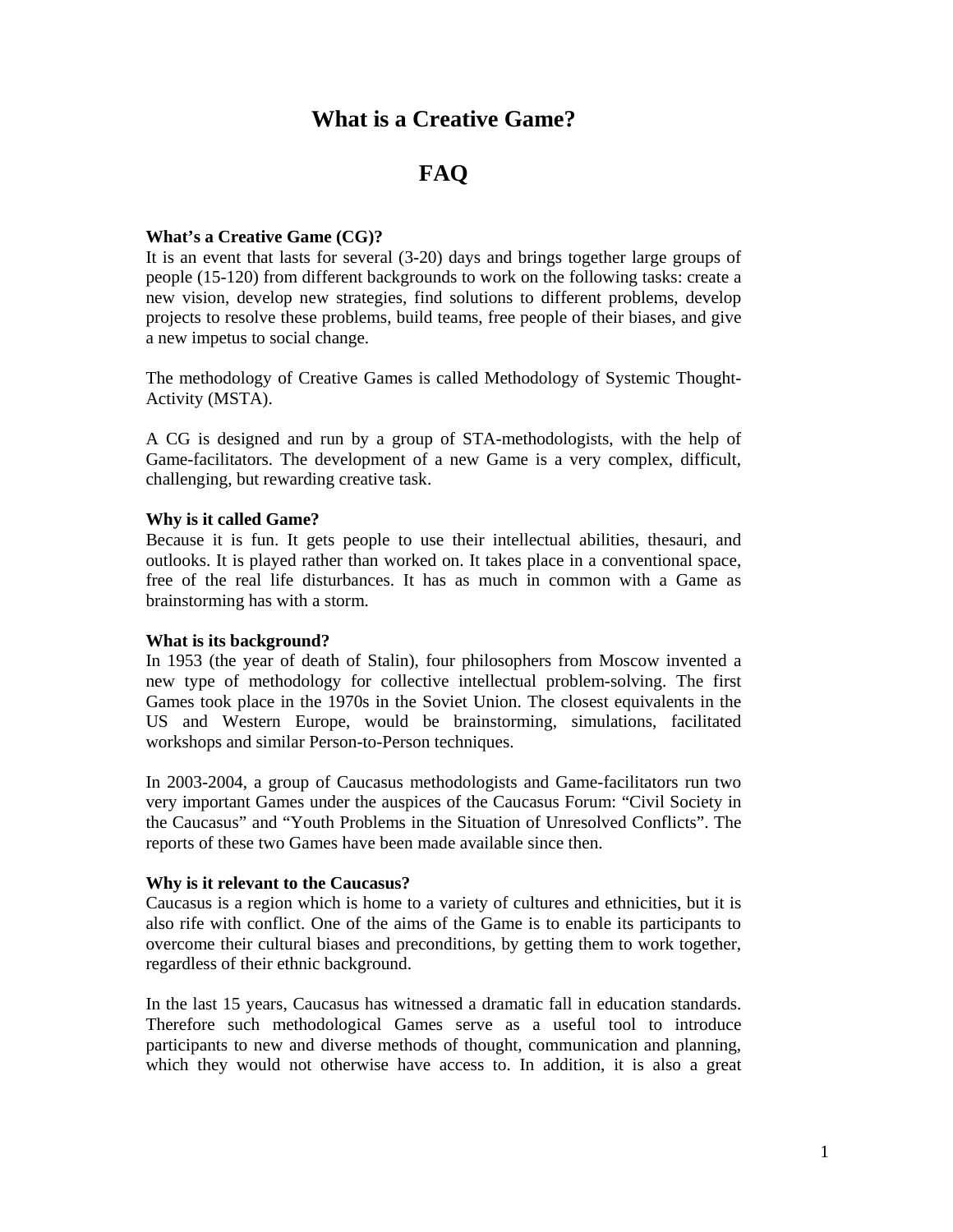# **What is a Creative Game?**

# **FAQ**

# **What's a Creative Game (CG)?**

It is an event that lasts for several (3-20) days and brings together large groups of people (15-120) from different backgrounds to work on the following tasks: create a new vision, develop new strategies, find solutions to different problems, develop projects to resolve these problems, build teams, free people of their biases, and give a new impetus to social change.

The methodology of Creative Games is called Methodology of Systemic Thought-Activity (MSTA).

A CG is designed and run by a group of STA-methodologists, with the help of Game-facilitators. The development of a new Game is a very complex, difficult, challenging, but rewarding creative task.

## **Why is it called Game?**

Because it is fun. It gets people to use their intellectual abilities, thesauri, and outlooks. It is played rather than worked on. It takes place in a conventional space, free of the real life disturbances. It has as much in common with a Game as brainstorming has with a storm.

#### **What is its background?**

In 1953 (the year of death of Stalin), four philosophers from Moscow invented a new type of methodology for collective intellectual problem-solving. The first Games took place in the 1970s in the Soviet Union. The closest equivalents in the US and Western Europe, would be brainstorming, simulations, facilitated workshops and similar Person-to-Person techniques.

In 2003-2004, a group of Caucasus methodologists and Game-facilitators run two very important Games under the auspices of the Caucasus Forum: "Civil Society in the Caucasus" and "Youth Problems in the Situation of Unresolved Conflicts". The reports of these two Games have been made available since then.

# **Why is it relevant to the Caucasus?**

Caucasus is a region which is home to a variety of cultures and ethnicities, but it is also rife with conflict. One of the aims of the Game is to enable its participants to overcome their cultural biases and preconditions, by getting them to work together, regardless of their ethnic background.

In the last 15 years, Caucasus has witnessed a dramatic fall in education standards. Therefore such methodological Games serve as a useful tool to introduce participants to new and diverse methods of thought, communication and planning, which they would not otherwise have access to. In addition, it is also a great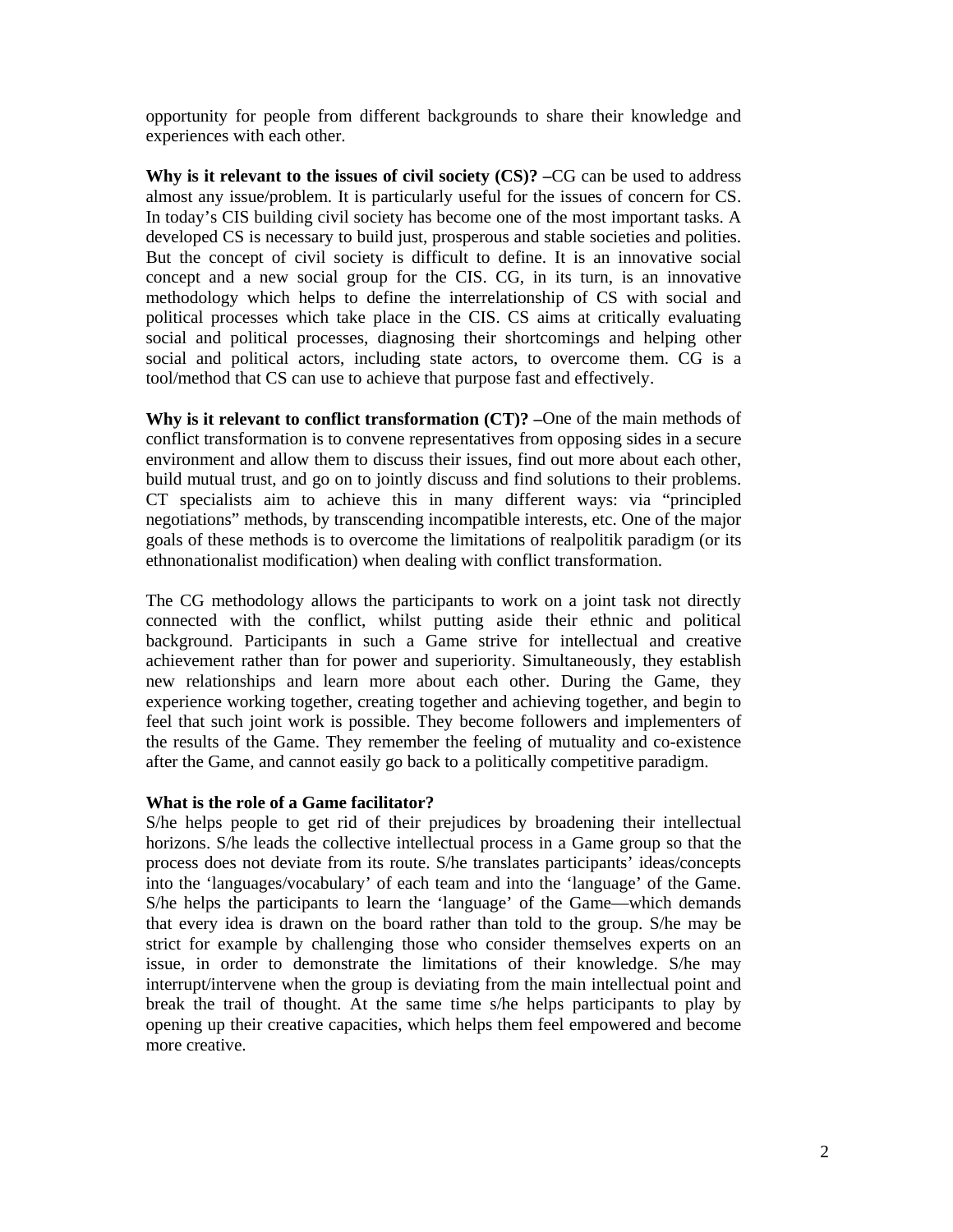opportunity for people from different backgrounds to share their knowledge and experiences with each other.

**Why is it relevant to the issues of civil society (CS)? –**CG can be used to address almost any issue/problem. It is particularly useful for the issues of concern for CS. In today's CIS building civil society has become one of the most important tasks. A developed CS is necessary to build just, prosperous and stable societies and polities. But the concept of civil society is difficult to define. It is an innovative social concept and a new social group for the CIS. CG, in its turn, is an innovative methodology which helps to define the interrelationship of CS with social and political processes which take place in the CIS. CS aims at critically evaluating social and political processes, diagnosing their shortcomings and helping other social and political actors, including state actors, to overcome them. CG is a tool/method that CS can use to achieve that purpose fast and effectively.

**Why is it relevant to conflict transformation (CT)? –**One of the main methods of conflict transformation is to convene representatives from opposing sides in a secure environment and allow them to discuss their issues, find out more about each other, build mutual trust, and go on to jointly discuss and find solutions to their problems. CT specialists aim to achieve this in many different ways: via "principled negotiations" methods, by transcending incompatible interests, etc. One of the major goals of these methods is to overcome the limitations of realpolitik paradigm (or its ethnonationalist modification) when dealing with conflict transformation.

The CG methodology allows the participants to work on a joint task not directly connected with the conflict, whilst putting aside their ethnic and political background. Participants in such a Game strive for intellectual and creative achievement rather than for power and superiority. Simultaneously, they establish new relationships and learn more about each other. During the Game, they experience working together, creating together and achieving together, and begin to feel that such joint work is possible. They become followers and implementers of the results of the Game. They remember the feeling of mutuality and co-existence after the Game, and cannot easily go back to a politically competitive paradigm.

#### **What is the role of a Game facilitator?**

S/he helps people to get rid of their prejudices by broadening their intellectual horizons. S/he leads the collective intellectual process in a Game group so that the process does not deviate from its route. S/he translates participants' ideas/concepts into the 'languages/vocabulary' of each team and into the 'language' of the Game. S/he helps the participants to learn the 'language' of the Game—which demands that every idea is drawn on the board rather than told to the group. S/he may be strict for example by challenging those who consider themselves experts on an issue, in order to demonstrate the limitations of their knowledge. S/he may interrupt/intervene when the group is deviating from the main intellectual point and break the trail of thought. At the same time s/he helps participants to play by opening up their creative capacities, which helps them feel empowered and become more creative.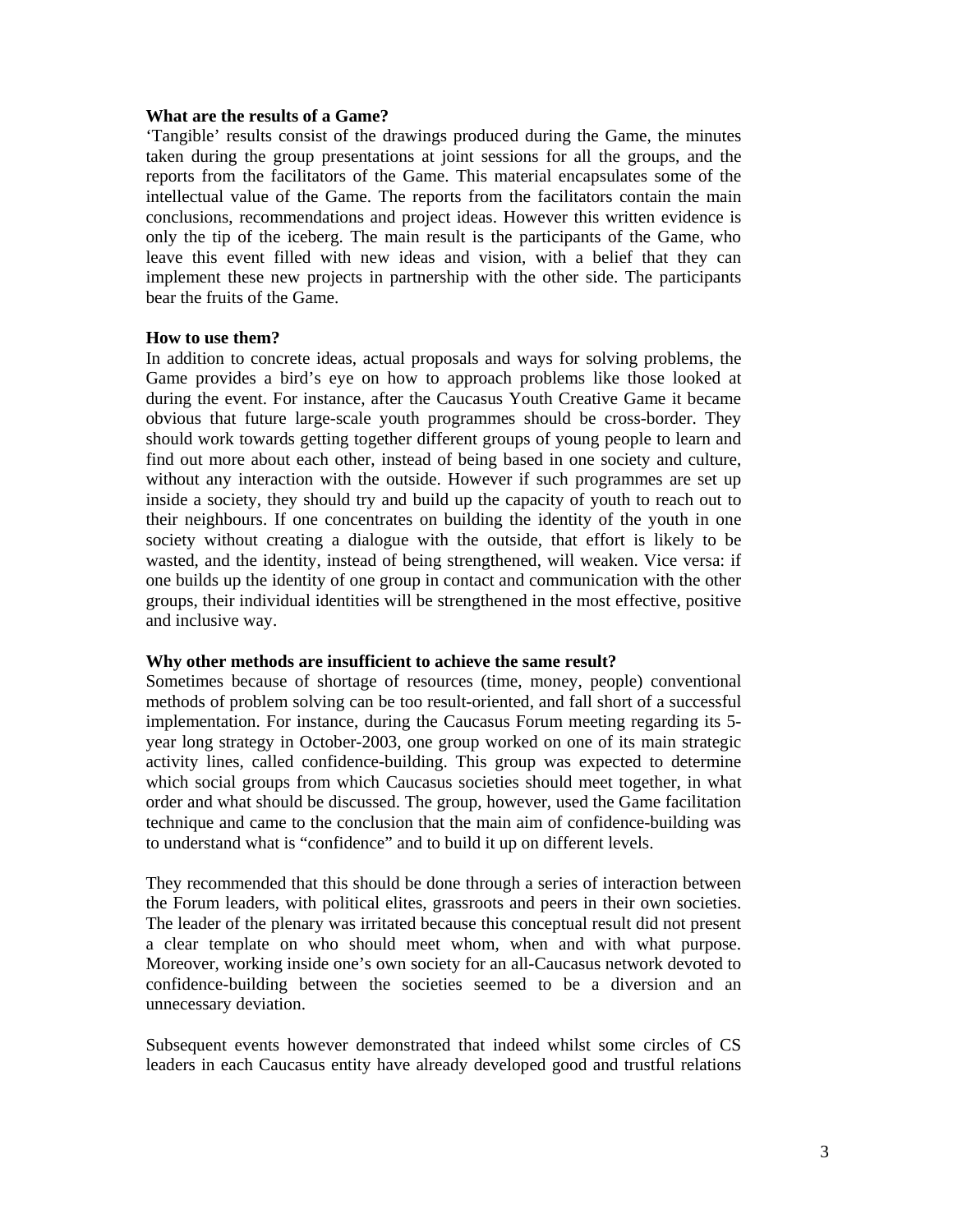#### **What are the results of a Game?**

'Tangible' results consist of the drawings produced during the Game, the minutes taken during the group presentations at joint sessions for all the groups, and the reports from the facilitators of the Game. This material encapsulates some of the intellectual value of the Game. The reports from the facilitators contain the main conclusions, recommendations and project ideas. However this written evidence is only the tip of the iceberg. The main result is the participants of the Game, who leave this event filled with new ideas and vision, with a belief that they can implement these new projects in partnership with the other side. The participants bear the fruits of the Game.

## **How to use them?**

In addition to concrete ideas, actual proposals and ways for solving problems, the Game provides a bird's eye on how to approach problems like those looked at during the event. For instance, after the Caucasus Youth Creative Game it became obvious that future large-scale youth programmes should be cross-border. They should work towards getting together different groups of young people to learn and find out more about each other, instead of being based in one society and culture, without any interaction with the outside. However if such programmes are set up inside a society, they should try and build up the capacity of youth to reach out to their neighbours. If one concentrates on building the identity of the youth in one society without creating a dialogue with the outside, that effort is likely to be wasted, and the identity, instead of being strengthened, will weaken. Vice versa: if one builds up the identity of one group in contact and communication with the other groups, their individual identities will be strengthened in the most effective, positive and inclusive way.

#### **Why other methods are insufficient to achieve the same result?**

Sometimes because of shortage of resources (time, money, people) conventional methods of problem solving can be too result-oriented, and fall short of a successful implementation. For instance, during the Caucasus Forum meeting regarding its 5 year long strategy in October-2003, one group worked on one of its main strategic activity lines, called confidence-building. This group was expected to determine which social groups from which Caucasus societies should meet together, in what order and what should be discussed. The group, however, used the Game facilitation technique and came to the conclusion that the main aim of confidence-building was to understand what is "confidence" and to build it up on different levels.

They recommended that this should be done through a series of interaction between the Forum leaders, with political elites, grassroots and peers in their own societies. The leader of the plenary was irritated because this conceptual result did not present a clear template on who should meet whom, when and with what purpose. Moreover, working inside one's own society for an all-Caucasus network devoted to confidence-building between the societies seemed to be a diversion and an unnecessary deviation.

Subsequent events however demonstrated that indeed whilst some circles of CS leaders in each Caucasus entity have already developed good and trustful relations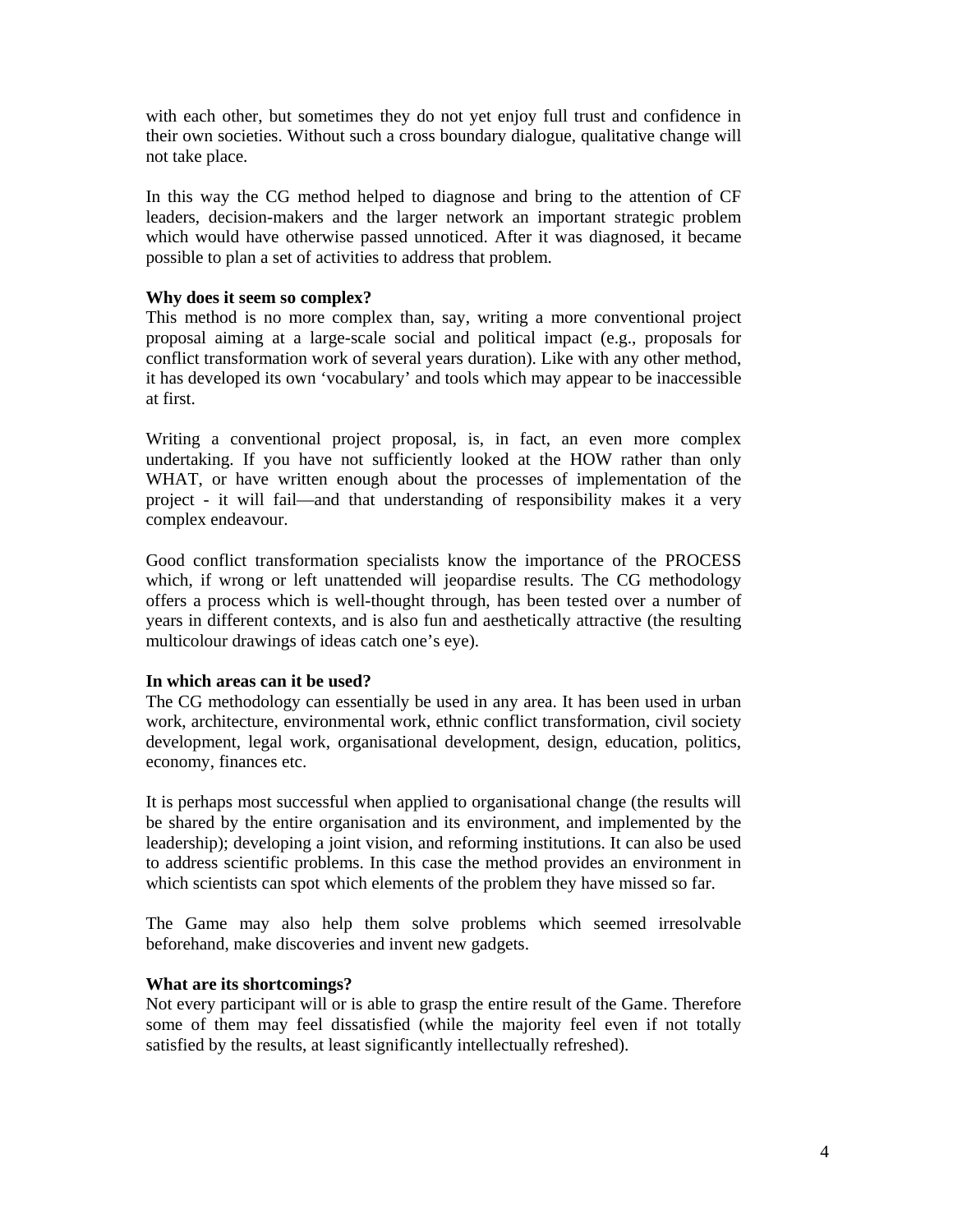with each other, but sometimes they do not yet enjoy full trust and confidence in their own societies. Without such a cross boundary dialogue, qualitative change will not take place.

In this way the CG method helped to diagnose and bring to the attention of CF leaders, decision-makers and the larger network an important strategic problem which would have otherwise passed unnoticed. After it was diagnosed, it became possible to plan a set of activities to address that problem.

# **Why does it seem so complex?**

This method is no more complex than, say, writing a more conventional project proposal aiming at a large-scale social and political impact (e.g., proposals for conflict transformation work of several years duration). Like with any other method, it has developed its own 'vocabulary' and tools which may appear to be inaccessible at first.

Writing a conventional project proposal, is, in fact, an even more complex undertaking. If you have not sufficiently looked at the HOW rather than only WHAT, or have written enough about the processes of implementation of the project - it will fail—and that understanding of responsibility makes it a very complex endeavour.

Good conflict transformation specialists know the importance of the PROCESS which, if wrong or left unattended will jeopardise results. The CG methodology offers a process which is well-thought through, has been tested over a number of years in different contexts, and is also fun and aesthetically attractive (the resulting multicolour drawings of ideas catch one's eye).

# **In which areas can it be used?**

The CG methodology can essentially be used in any area. It has been used in urban work, architecture, environmental work, ethnic conflict transformation, civil society development, legal work, organisational development, design, education, politics, economy, finances etc.

It is perhaps most successful when applied to organisational change (the results will be shared by the entire organisation and its environment, and implemented by the leadership); developing a joint vision, and reforming institutions. It can also be used to address scientific problems. In this case the method provides an environment in which scientists can spot which elements of the problem they have missed so far.

The Game may also help them solve problems which seemed irresolvable beforehand, make discoveries and invent new gadgets.

#### **What are its shortcomings?**

Not every participant will or is able to grasp the entire result of the Game. Therefore some of them may feel dissatisfied (while the majority feel even if not totally satisfied by the results, at least significantly intellectually refreshed).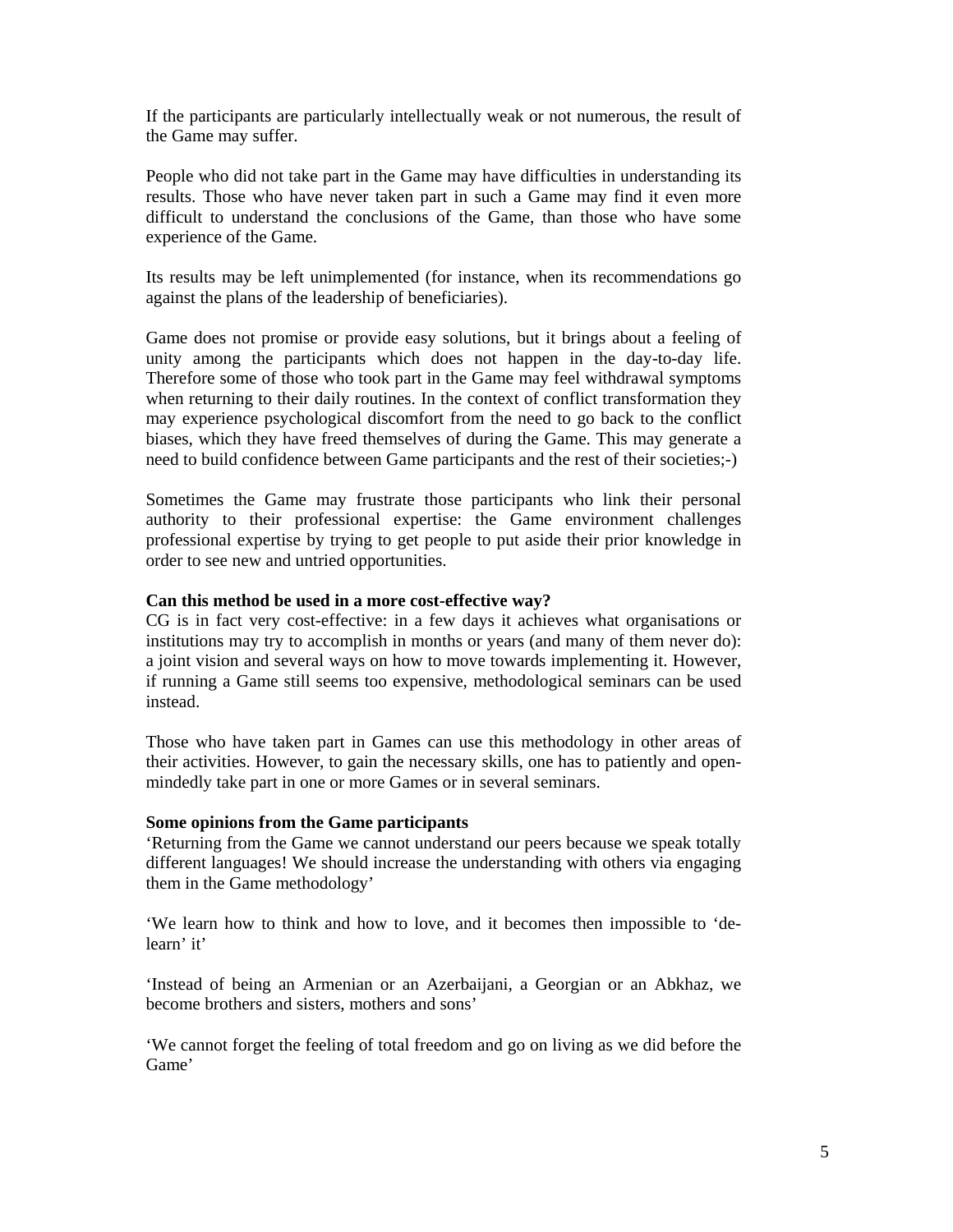If the participants are particularly intellectually weak or not numerous, the result of the Game may suffer.

People who did not take part in the Game may have difficulties in understanding its results. Those who have never taken part in such a Game may find it even more difficult to understand the conclusions of the Game, than those who have some experience of the Game.

Its results may be left unimplemented (for instance, when its recommendations go against the plans of the leadership of beneficiaries).

Game does not promise or provide easy solutions, but it brings about a feeling of unity among the participants which does not happen in the day-to-day life. Therefore some of those who took part in the Game may feel withdrawal symptoms when returning to their daily routines. In the context of conflict transformation they may experience psychological discomfort from the need to go back to the conflict biases, which they have freed themselves of during the Game. This may generate a need to build confidence between Game participants and the rest of their societies;-)

Sometimes the Game may frustrate those participants who link their personal authority to their professional expertise: the Game environment challenges professional expertise by trying to get people to put aside their prior knowledge in order to see new and untried opportunities.

## **Can this method be used in a more cost-effective way?**

CG is in fact very cost-effective: in a few days it achieves what organisations or institutions may try to accomplish in months or years (and many of them never do): a joint vision and several ways on how to move towards implementing it. However, if running a Game still seems too expensive, methodological seminars can be used instead.

Those who have taken part in Games can use this methodology in other areas of their activities. However, to gain the necessary skills, one has to patiently and openmindedly take part in one or more Games or in several seminars.

#### **Some opinions from the Game participants**

'Returning from the Game we cannot understand our peers because we speak totally different languages! We should increase the understanding with others via engaging them in the Game methodology'

'We learn how to think and how to love, and it becomes then impossible to 'delearn' it'

'Instead of being an Armenian or an Azerbaijani, a Georgian or an Abkhaz, we become brothers and sisters, mothers and sons'

'We cannot forget the feeling of total freedom and go on living as we did before the Game'